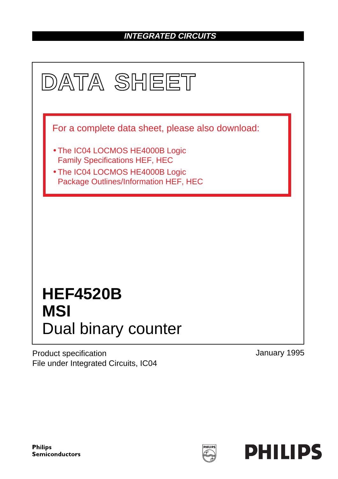### **INTEGRATED CIRCUITS**



Product specification File under Integrated Circuits, IC04 January 1995

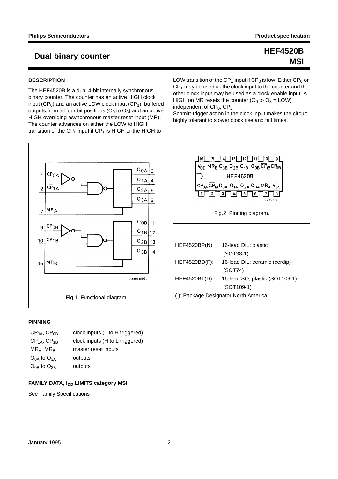## **MSI**

### **Dual binary counter HEF4520B**

### **DESCRIPTION**

The HEF4520B is a dual 4-bit internally synchronous binary counter. The counter has an active HIGH clock input (CP<sub>0</sub>) and an active LOW clock input ( $\overline{\text{CP}}_1$ ), buffered outputs from all four bit positions  $(O_0$  to  $O_3)$  and an active HIGH overriding asynchronous master reset input (MR). The counter advances on either the LOW to HIGH transition of the CP<sub>0</sub> input if  $\overline{\text{CP}}_1$  is HIGH or the HIGH to



### **PINNING**

| $CP0A$ , $CP0B$                     | clock inputs (L to H triggered) |
|-------------------------------------|---------------------------------|
| CP <sub>1A</sub> , CP <sub>1B</sub> | clock inputs (H to L triggered) |
| $MR_A$ , MR <sub>B</sub>            | master reset inputs             |
| $O_{0A}$ to $O_{3A}$                | outputs                         |
| $O_{0B}$ to $O_{3B}$                | outputs                         |

### **FAMILY DATA, I<sub>DD</sub> LIMITS category MSI**

See Family Specifications

LOW transition of the  $\overline{\text{CP}}_1$  input if CP<sub>0</sub> is low. Either CP<sub>0</sub> or  $\overline{\text{CP}}_1$  may be used as the clock input to the counter and the other clock input may be used as a clock enable input. A HIGH on MR resets the counter  $(O_0$  to  $O_3 = LOW)$ independent of  $CP_0$ ,  $\overline{CP}_1$ .

Schmitt-trigger action in the clock input makes the circuit highly tolerant to slower clock rise and fall times.



| HEF4520BP(N):                        | 16-lead DIL; plastic           |  |
|--------------------------------------|--------------------------------|--|
|                                      | $(SOT38-1)$                    |  |
| HEF4520BD(F):                        | 16-lead DIL; ceramic (cerdip)  |  |
|                                      | (SOT74)                        |  |
| HEF4520BT(D):                        | 16-lead SO; plastic (SOT109-1) |  |
|                                      | $(SOT109-1)$                   |  |
| (): Package Designator North America |                                |  |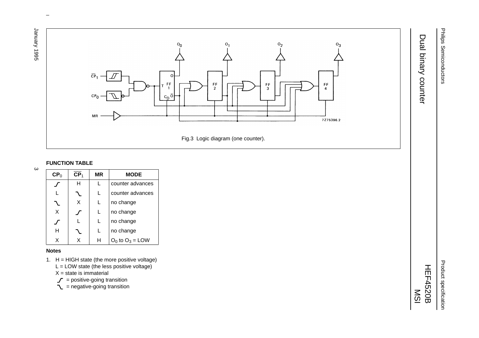1996 Yasunar January 1995 3

 $\boldsymbol{\omega}$ 



 $\omega$  rotated correctly when browsing through the pdf in the Acrobat reader.This text is here in the pdf in the  $\alpha$ 

### **FUNCTION TABLE**

| CP <sub>0</sub> | CP <sub>1</sub> | ΜR | <b>MODE</b>          |
|-----------------|-----------------|----|----------------------|
|                 | н               |    | counter advances     |
|                 |                 |    | counter advances     |
|                 | X               | L  | no change            |
| X               |                 |    | no change            |
|                 |                 |    | no change            |
| н               |                 |    | no change            |
|                 |                 |    | $O_0$ to $O_3$ = LOW |

#### **Notes**

- 1. H <sup>=</sup> HIGH state (the more positive voltage)
	- $L =$  LOW state (the less positive voltage)
	- X = state is immaterial
	- $\mathcal{J}$  = positive-going transition
	- $\bar{C}$  = negative-going transition

Product specification Product specification

Philips Semiconductors

Philips Semiconductors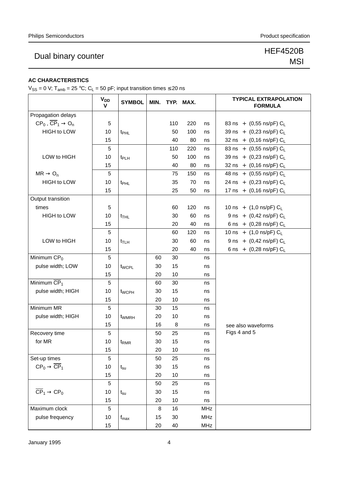### Dual binary counter New York 1989 Business References And America and America And America And America And America And America And America And America And America And America And America And America And America And America

# MSI

### **AC CHARACTERISTICS**

 $V_{SS} = 0$  V; T<sub>amb</sub> = 25 °C; C<sub>L</sub> = 50 pF; input transition times  $\leq$  20 ns

|                                                  | <b>V<sub>DD</sub></b><br>$\mathsf{V}$ | <b>SYMBOL</b>      | MIN. |     | TYP. MAX. |            | <b>TYPICAL EXTRAPOLATION</b><br><b>FORMULA</b> |
|--------------------------------------------------|---------------------------------------|--------------------|------|-----|-----------|------------|------------------------------------------------|
| Propagation delays                               |                                       |                    |      |     |           |            |                                                |
| $CP_0$ , $\overline{CP}_1 \rightarrow O_n$       | 5                                     |                    |      | 110 | 220       | ns         | 83 ns + $(0,55 \text{ ns/pF}) C_L$             |
| <b>HIGH to LOW</b>                               | 10                                    | t <sub>PHL</sub>   |      | 50  | 100       | ns         | 39 ns + $(0,23 \text{ ns/pF}) C_L$             |
|                                                  | 15                                    |                    |      | 40  | 80        | ns         | 32 ns + $(0,16 \text{ ns/pF}) C_L$             |
|                                                  | 5                                     |                    |      | 110 | 220       | ns         | 83 ns + $(0,55 \text{ ns/pF}) C_L$             |
| LOW to HIGH                                      | 10                                    | t <sub>PLH</sub>   |      | 50  | 100       | ns         | 39 ns + $(0,23 \text{ ns/pF}) C_L$             |
|                                                  | 15                                    |                    |      | 40  | 80        | ns         | 32 ns + $(0,16 \text{ ns/pF}) C_L$             |
| $MR \rightarrow O_n$                             | 5                                     |                    |      | 75  | 150       | ns         | 48 ns + $(0,55 \text{ ns/pF}) C_L$             |
| HIGH to LOW                                      | 10                                    | t <sub>PHL</sub>   |      | 35  | 70        | ns         | 24 ns + $(0,23 \text{ ns/pF}) C_L$             |
|                                                  | 15                                    |                    |      | 25  | 50        | ns         | 17 ns + $(0,16 \text{ ns/pF}) C_L$             |
| Output transition                                |                                       |                    |      |     |           |            |                                                |
| times                                            | 5                                     |                    |      | 60  | 120       | ns         | 10 ns + $(1,0 \text{ ns/pF}) C_L$              |
| <b>HIGH to LOW</b>                               | 10                                    | $t$ <sub>THL</sub> |      | 30  | 60        | ns         | 9 ns + $(0,42 \text{ ns/pF}) C_L$              |
|                                                  | 15                                    |                    |      | 20  | 40        | ns         | 6 ns + $(0,28 \text{ ns/pF}) C_L$              |
|                                                  | 5                                     |                    |      | 60  | 120       | ns         | 10 ns + $(1,0 \text{ ns/pF}) C_L$              |
| LOW to HIGH                                      | 10                                    | $t_{TLH}$          |      | 30  | 60        | ns         | 9 ns + $(0,42 \text{ ns/pF}) C_L$              |
|                                                  | 15                                    |                    |      | 20  | 40        | ns         | 6 ns + $(0,28 \text{ ns/pF}) C_L$              |
| Minimum $CP0$                                    | 5                                     |                    | 60   | 30  |           | ns         |                                                |
| pulse width; LOW                                 | 10                                    | t <sub>WCPL</sub>  | 30   | 15  |           | ns         |                                                |
|                                                  | 15                                    |                    | 20   | 10  |           | ns         |                                                |
| Minimum $\overline{\text{CP}}_1$                 | 5                                     |                    | 60   | 30  |           | ns         |                                                |
| pulse width; HIGH                                | 10                                    | t <sub>WCPH</sub>  | 30   | 15  |           | ns         |                                                |
|                                                  | 15                                    |                    | 20   | 10  |           | ns         |                                                |
| Minimum MR                                       | 5                                     |                    | 30   | 15  |           | ns         |                                                |
| pulse width; HIGH                                | 10                                    | t <sub>WMRH</sub>  | 20   | 10  |           | ns         |                                                |
|                                                  | 15                                    |                    | 16   | 8   |           | ns         | see also waveforms                             |
| Recovery time                                    | 5                                     |                    | 50   | 25  |           | ns         | Figs 4 and 5                                   |
| for MR                                           | 10                                    | t <sub>RMR</sub>   | 30   | 15  |           | ns         |                                                |
|                                                  | 15                                    |                    | 20   | 10  |           | ns         |                                                |
| Set-up times                                     | 5                                     |                    | 50   | 25  |           | ns         |                                                |
| $\text{CP}_0 \rightarrow \overline{\text{CP}}_1$ | 10                                    | $t_{\rm su}$       | 30   | 15  |           | ns         |                                                |
|                                                  | 15                                    |                    | 20   | 10  |           | ns         |                                                |
|                                                  | 5                                     |                    | 50   | 25  |           | ns         |                                                |
| $\overline{\text{CP}}_1 \rightarrow \text{CP}_0$ | 10                                    | $t_{\rm su}$       | 30   | 15  |           | ns         |                                                |
|                                                  | 15                                    |                    | 20   | 10  |           | ns         |                                                |
| Maximum clock                                    | 5                                     |                    | 8    | 16  |           | MHz        |                                                |
| pulse frequency                                  | 10                                    | $f_{\text{max}}$   | 15   | 30  |           | <b>MHz</b> |                                                |
|                                                  | 15                                    |                    | 20   | 40  |           | <b>MHz</b> |                                                |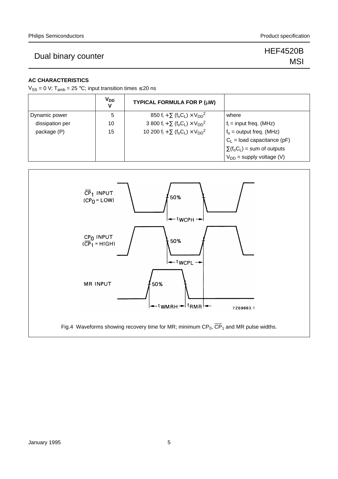### Dual binary counter New York 1989 Business Counter New York 1989 Business Public Counter 1989 Business Public Co<br>
1940 Business Public Counter 1989 Business Public Counter 1989 Business Public Counter 1989 Business Public

# MSI

### **AC CHARACTERISTICS**

 $V_{SS} = 0$  V; T<sub>amb</sub> = 25 °C; input transition times  $\leq$  20 ns

|                 | <b>V<sub>DD</sub></b><br>v | TYPICAL FORMULA FOR P (µW)                                                                    |                                   |
|-----------------|----------------------------|-----------------------------------------------------------------------------------------------|-----------------------------------|
| Dynamic power   | 5                          | 850 f <sub>i</sub> + $\Sigma$ (f <sub>o</sub> C <sub>L</sub> ) × V <sub>DD</sub> <sup>2</sup> | where                             |
| dissipation per | 10                         | 3 800 $f_i + \sum (f_o C_l) \times V_{DD}^2$                                                  | $f_i$ = input freq. (MHz)         |
| package (P)     | 15                         | 10 200 $f_i + \sum (f_o C_L) \times V_{DD}^2$                                                 | $f_0$ = output freq. (MHz)        |
|                 |                            |                                                                                               | $C_1$ = load capacitance (pF)     |
|                 |                            |                                                                                               | $\Sigma(f_0C_L)$ = sum of outputs |
|                 |                            |                                                                                               | $V_{DD}$ = supply voltage (V)     |



Fig.4 Waveforms showing recovery time for MR; minimum  $CP_0$ ,  $\overline{CP}_1$  and MR pulse widths.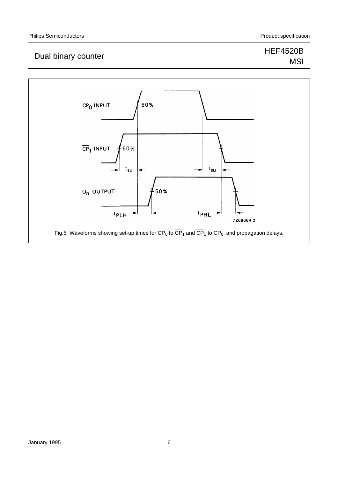### Dual binary counter Material Control of the Material Control of the Material Control of the Material Control o<br>Material Control of the Material Control of the Material Control of the Material Control of the Material Contro

# MSI